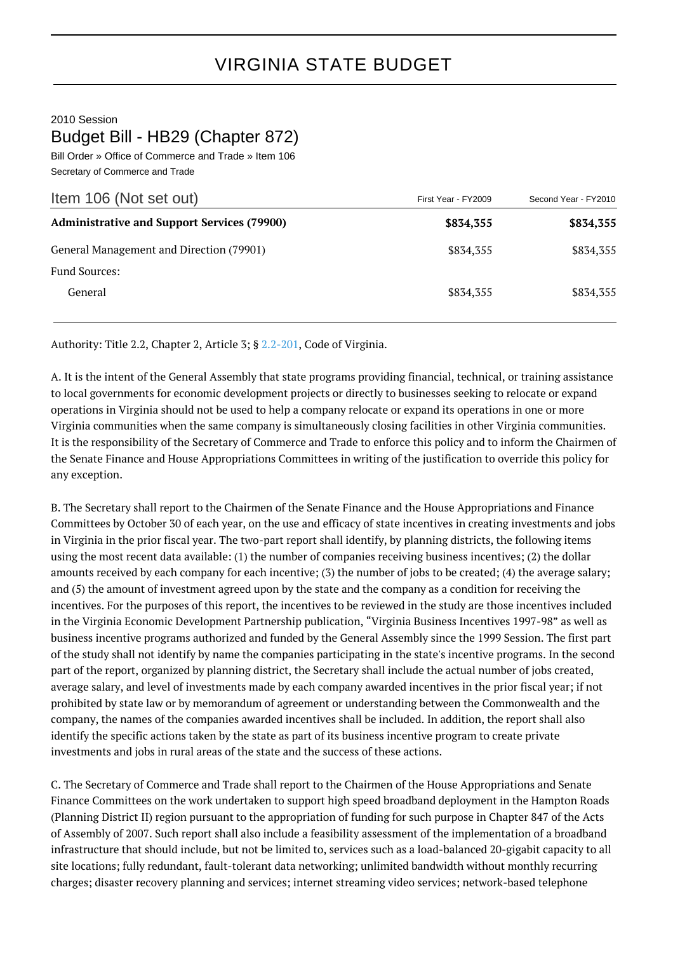## 2010 Session Budget Bill - HB29 (Chapter 872)

Bill Order » Office of Commerce and Trade » Item 106 Secretary of Commerce and Trade

| Item 106 (Not set out)                             | First Year - FY2009 | Second Year - FY2010 |
|----------------------------------------------------|---------------------|----------------------|
| <b>Administrative and Support Services (79900)</b> | \$834,355           | \$834,355            |
| General Management and Direction (79901)           | \$834,355           | \$834,355            |
| <b>Fund Sources:</b>                               |                     |                      |
| General                                            | \$834,355           | \$834,355            |

Authority: Title 2.2, Chapter 2, Article 3; § [2.2-201](http://law.lis.virginia.gov/vacode/2.2-201/), Code of Virginia.

A. It is the intent of the General Assembly that state programs providing financial, technical, or training assistance to local governments for economic development projects or directly to businesses seeking to relocate or expand operations in Virginia should not be used to help a company relocate or expand its operations in one or more Virginia communities when the same company is simultaneously closing facilities in other Virginia communities. It is the responsibility of the Secretary of Commerce and Trade to enforce this policy and to inform the Chairmen of the Senate Finance and House Appropriations Committees in writing of the justification to override this policy for any exception.

B. The Secretary shall report to the Chairmen of the Senate Finance and the House Appropriations and Finance Committees by October 30 of each year, on the use and efficacy of state incentives in creating investments and jobs in Virginia in the prior fiscal year. The two-part report shall identify, by planning districts, the following items using the most recent data available: (1) the number of companies receiving business incentives; (2) the dollar amounts received by each company for each incentive; (3) the number of jobs to be created; (4) the average salary; and (5) the amount of investment agreed upon by the state and the company as a condition for receiving the incentives. For the purposes of this report, the incentives to be reviewed in the study are those incentives included in the Virginia Economic Development Partnership publication, "Virginia Business Incentives 1997-98" as well as business incentive programs authorized and funded by the General Assembly since the 1999 Session. The first part of the study shall not identify by name the companies participating in the state's incentive programs. In the second part of the report, organized by planning district, the Secretary shall include the actual number of jobs created, average salary, and level of investments made by each company awarded incentives in the prior fiscal year; if not prohibited by state law or by memorandum of agreement or understanding between the Commonwealth and the company, the names of the companies awarded incentives shall be included. In addition, the report shall also identify the specific actions taken by the state as part of its business incentive program to create private investments and jobs in rural areas of the state and the success of these actions.

C. The Secretary of Commerce and Trade shall report to the Chairmen of the House Appropriations and Senate Finance Committees on the work undertaken to support high speed broadband deployment in the Hampton Roads (Planning District II) region pursuant to the appropriation of funding for such purpose in Chapter 847 of the Acts of Assembly of 2007. Such report shall also include a feasibility assessment of the implementation of a broadband infrastructure that should include, but not be limited to, services such as a load-balanced 20-gigabit capacity to all site locations; fully redundant, fault-tolerant data networking; unlimited bandwidth without monthly recurring charges; disaster recovery planning and services; internet streaming video services; network-based telephone